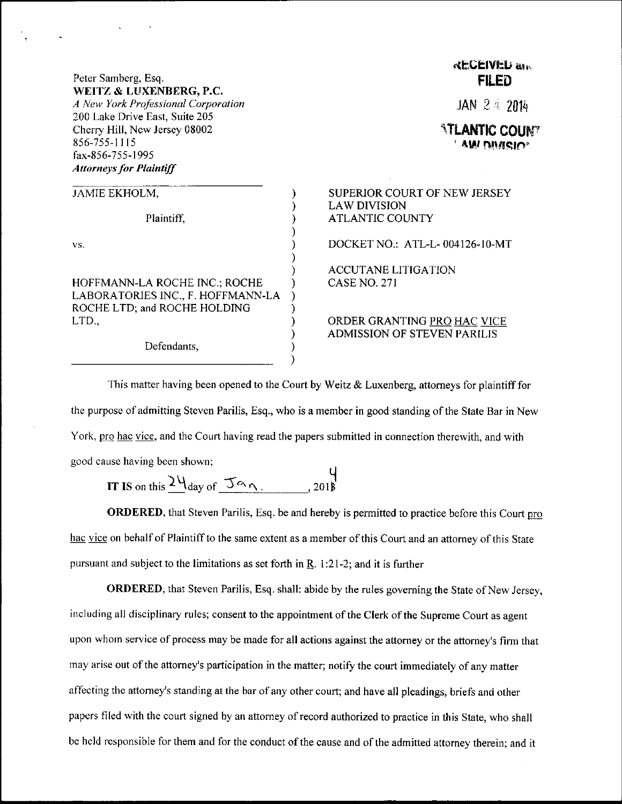## **RECEIVED am** Peter Samberg, Esq. **FILED** WEITZ & LUXENBERG, P.C. A New York Professional Corporation JAN  $24, 2014$ 200 Lake Drive East, Suite 205 Cherry Hill, New Jersey 08002 *ATLANTIC COUNT* 856-755-1115 , AW DIMISIO fax-S56-755-l 995 **Attorneys for Plaintiff** .IAMIE EKHOLM. SUPERIOR COURT OF NEW JERSEY LAWDIVISION Plaintiff, ATLANTIC COUNTY vs. DOCKET NO.: ATL-L- 004126-10-MT ACCUTANE LITIGATION HOFFMANN-LA ROCHE INC,; ROCHE CASE NO. 27I ) LABORATORIES INC., F. HOFFMANN-LA  $\lambda$ ROCHE LTD; and ROCHE HOLDING LTD., ORDER GRANTING PRO HAC VICE ADMISSION OF STEVEN PARILIS í Defendants,

This matter having been opened to the Court by Weitz  $\&$  Luxenberg, attorneys for plaintiff for the purpose of admitting Steven Parilis, Esq., who is a member in good standing ofthe State Bar in New York, pro hac vice, and the Court having read the papers submitted in connection therewith, and with good cause having been shown;

IT IS on this  $\frac{24}{\text{day of } 5^\text{ex}}$ . , zo 1

ORDERED, that Steven Parilis, Esq. be and hereby is permitted to practice before this Court pro hac vice on behalf of Plaintiff to the same extent as a member of this Court and an attorney of this State pursuant and subject to the limitations as set forth in  $\mathbb{R}$ . 1:21-2; and it is further

ORDERED, that Steven Parilis, Esq. shall: abide by the rules governing the State of New Jersey, including all disciplinary rules; consent to the appointment of the Clerk of the Supreme Court as agent upon whom service of process may be made for all actions against the attorney or the attorney's firm that may arise out of the attorney's participation in the matter; notify the court immediately of any matter affecting the attorney's standing at the bar of any other court; and have all pleadings, briefs and other papers filed with the court signed by an attorney of record authorized to practice in this State, who shall be held responsible for them and for the conduct of the cause and of the admitted attorney therein; and it